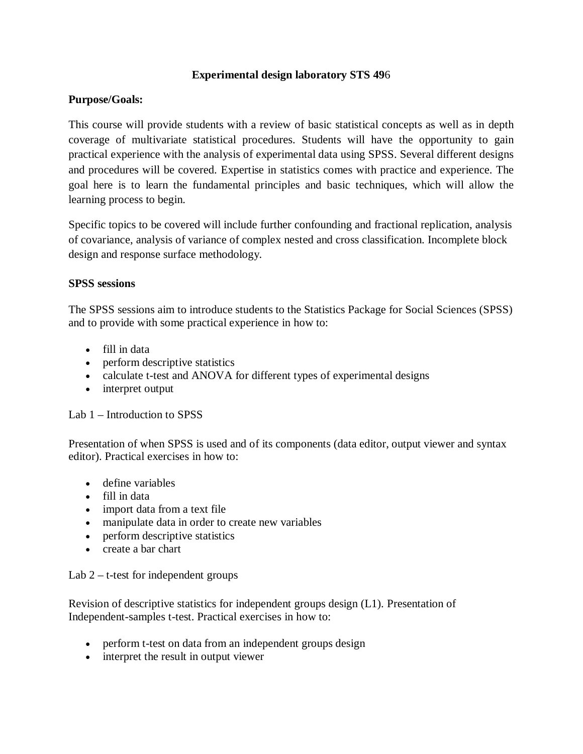## **Experimental design laboratory STS 49**6

## **Purpose/Goals:**

This course will provide students with a review of basic statistical concepts as well as in depth coverage of multivariate statistical procedures. Students will have the opportunity to gain practical experience with the analysis of experimental data using SPSS. Several different designs and procedures will be covered. Expertise in statistics comes with practice and experience. The goal here is to learn the fundamental principles and basic techniques, which will allow the learning process to begin.

Specific topics to be covered will include further confounding and fractional replication, analysis of covariance, analysis of variance of complex nested and cross classification. Incomplete block design and response surface methodology.

## **SPSS sessions**

The SPSS sessions aim to introduce students to the Statistics Package for Social Sciences (SPSS) and to provide with some practical experience in how to:

- fill in data
- perform descriptive statistics
- calculate t-test and ANOVA for different types of experimental designs
- interpret output

## Lab 1 – Introduction to SPSS

Presentation of when SPSS is used and of its components (data editor, output viewer and syntax editor). Practical exercises in how to:

- define variables
- fill in data
- import data from a text file
- manipulate data in order to create new variables
- perform descriptive statistics
- create a bar chart

Lab  $2 - t$ -test for independent groups

Revision of descriptive statistics for independent groups design (L1). Presentation of Independent-samples t-test. Practical exercises in how to:

- perform t-test on data from an independent groups design
- interpret the result in output viewer